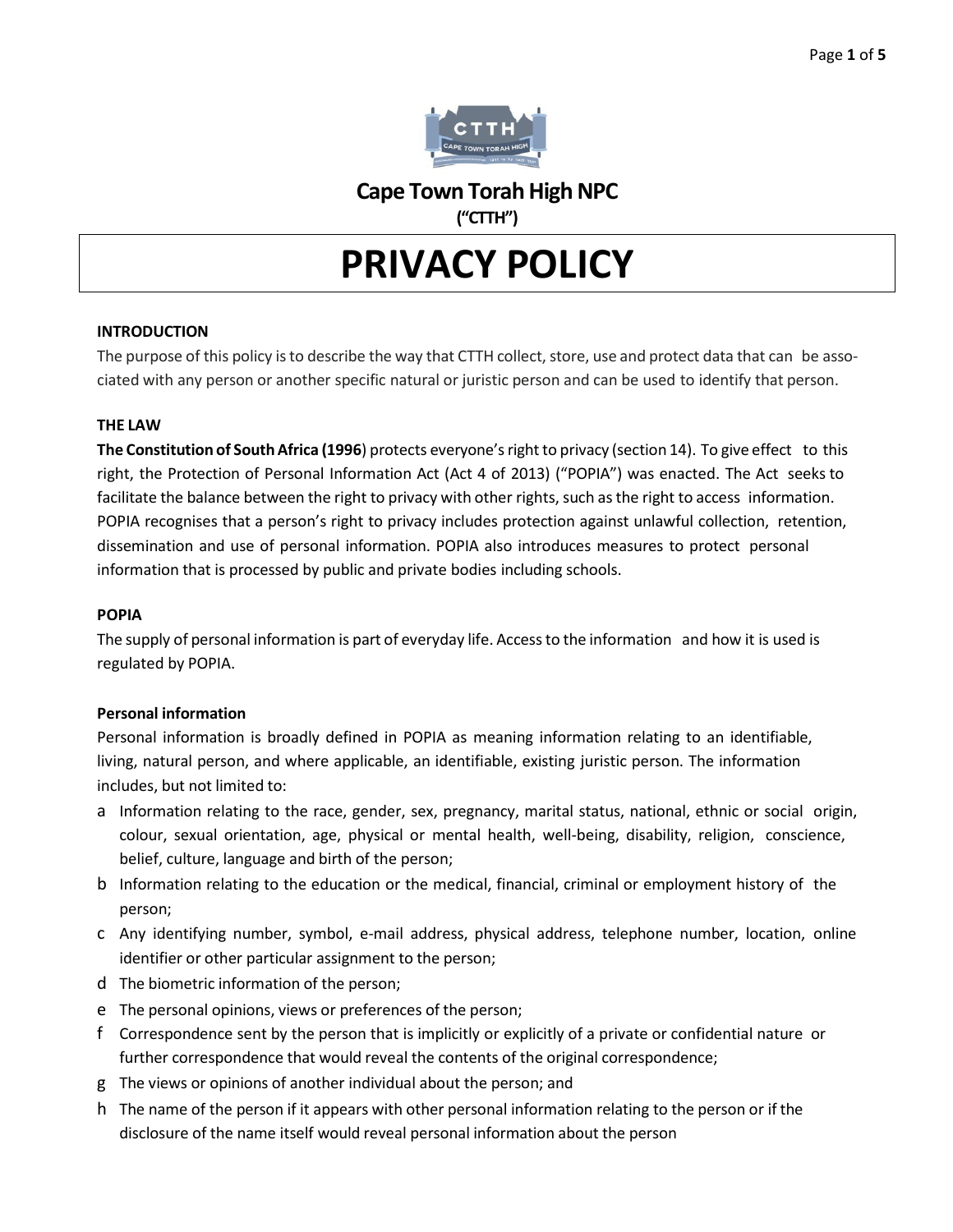## **Cape Town Torah High NPC ("CTTH")**

# **PRIVACY POLICY**

## **INTRODUCTION**

The purpose of this policy isto describe the way that CTTH collect, store, use and protect data that can be associated with any person or another specific natural or juristic person and can be used to identify that person.

## **THE LAW**

**The Constitution of South Africa (1996**) protects everyone's right to privacy (section 14). To give effect to this right, the Protection of Personal Information Act (Act 4 of 2013) ("POPIA") was enacted. The Act seeks to facilitate the balance between the right to privacy with other rights, such as the right to access information. POPIA recognises that a person's right to privacy includes protection against unlawful collection, retention, dissemination and use of personal information. POPIA also introduces measures to protect personal information that is processed by public and private bodies including schools.

## **POPIA**

The supply of personal information is part of everyday life. Accessto the information and how it is used is regulated by POPIA.

## **Personal information**

Personal information is broadly defined in POPIA as meaning information relating to an identifiable, living, natural person, and where applicable, an identifiable, existing juristic person. The information includes, but not limited to:

- a Information relating to the race, gender, sex, pregnancy, marital status, national, ethnic or social origin, colour, sexual orientation, age, physical or mental health, well-being, disability, religion, conscience, belief, culture, language and birth of the person;
- b Information relating to the education or the medical, financial, criminal or employment history of the person;
- c Any identifying number, symbol, e-mail address, physical address, telephone number, location, online identifier or other particular assignment to the person;
- d The biometric information of the person;
- e The personal opinions, views or preferences of the person;
- f Correspondence sent by the person that is implicitly or explicitly of a private or confidential nature or further correspondence that would reveal the contents of the original correspondence;
- g The views or opinions of another individual about the person; and
- h The name of the person if it appears with other personal information relating to the person or if the disclosure of the name itself would reveal personal information about the person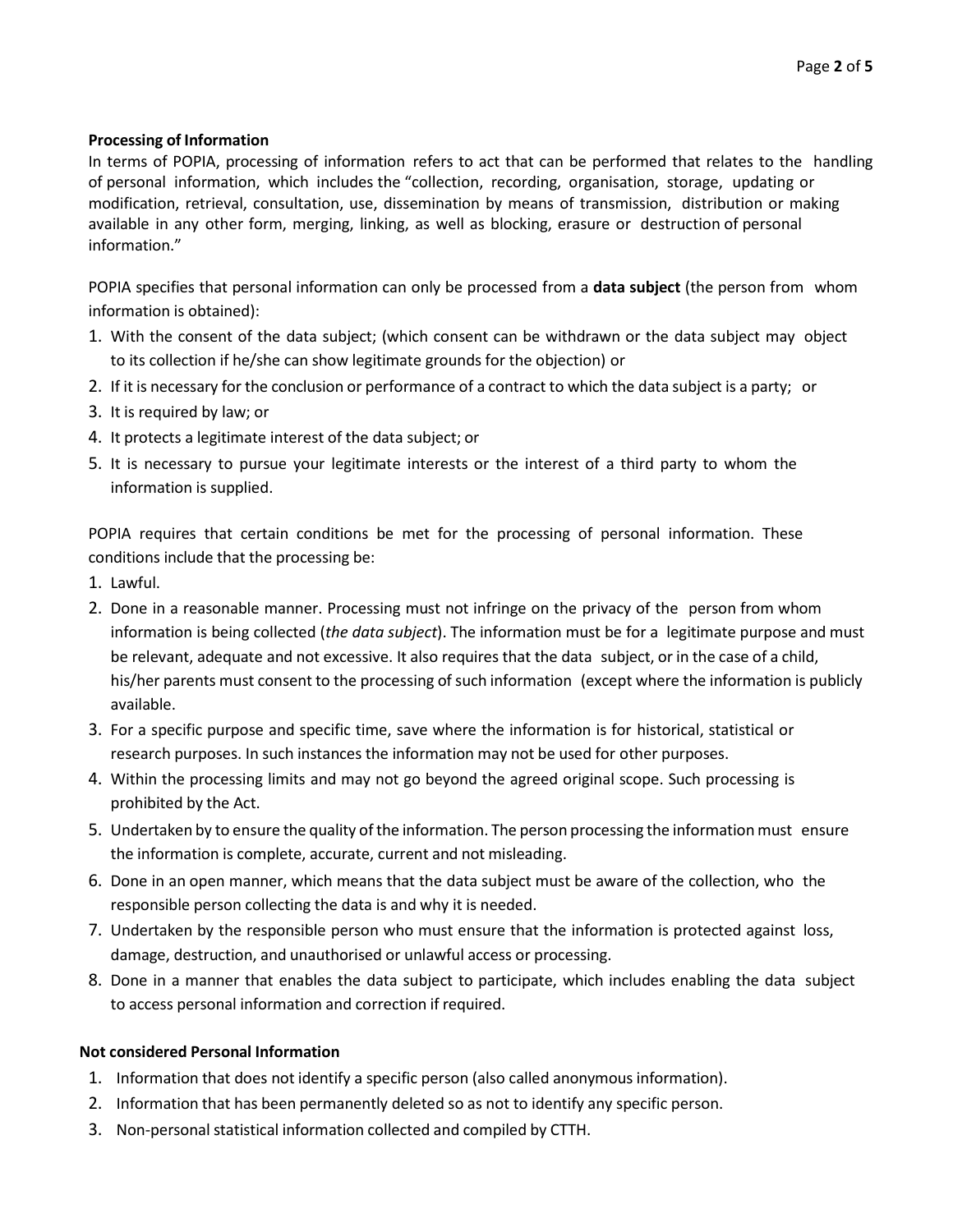#### **Processing of Information**

In terms of POPIA, processing of information refers to act that can be performed that relates to the handling of personal information, which includes the "collection, recording, organisation, storage, updating or modification, retrieval, consultation, use, dissemination by means of transmission, distribution or making available in any other form, merging, linking, as well as blocking, erasure or destruction of personal information."

POPIA specifies that personal information can only be processed from a **data subject** (the person from whom information is obtained):

- 1. With the consent of the data subject; (which consent can be withdrawn or the data subject may object to its collection if he/she can show legitimate grounds for the objection) or
- 2. If it is necessary for the conclusion or performance of a contract to which the data subject is a party; or
- 3. It is required by law; or
- 4. It protects a legitimate interest of the data subject; or
- 5. It is necessary to pursue your legitimate interests or the interest of a third party to whom the information is supplied.

POPIA requires that certain conditions be met for the processing of personal information. These conditions include that the processing be:

- 1. Lawful.
- 2. Done in a reasonable manner. Processing must not infringe on the privacy of the person from whom information is being collected (*the data subject*). The information must be for a legitimate purpose and must be relevant, adequate and not excessive. It also requires that the data subject, or in the case of a child, his/her parents must consent to the processing of such information (except where the information is publicly available.
- 3. For a specific purpose and specific time, save where the information is for historical, statistical or research purposes. In such instances the information may not be used for other purposes.
- 4. Within the processing limits and may not go beyond the agreed original scope. Such processing is prohibited by the Act.
- 5. Undertaken by to ensure the quality of the information. The person processing the information must ensure the information is complete, accurate, current and not misleading.
- 6. Done in an open manner, which means that the data subject must be aware of the collection, who the responsible person collecting the data is and why it is needed.
- 7. Undertaken by the responsible person who must ensure that the information is protected against loss, damage, destruction, and unauthorised or unlawful access or processing.
- 8. Done in a manner that enables the data subject to participate, which includes enabling the data subject to access personal information and correction if required.

## **Not considered Personal Information**

- 1. Information that does not identify a specific person (also called anonymous information).
- 2. Information that has been permanently deleted so as not to identify any specific person.
- 3. Non-personal statistical information collected and compiled by CTTH.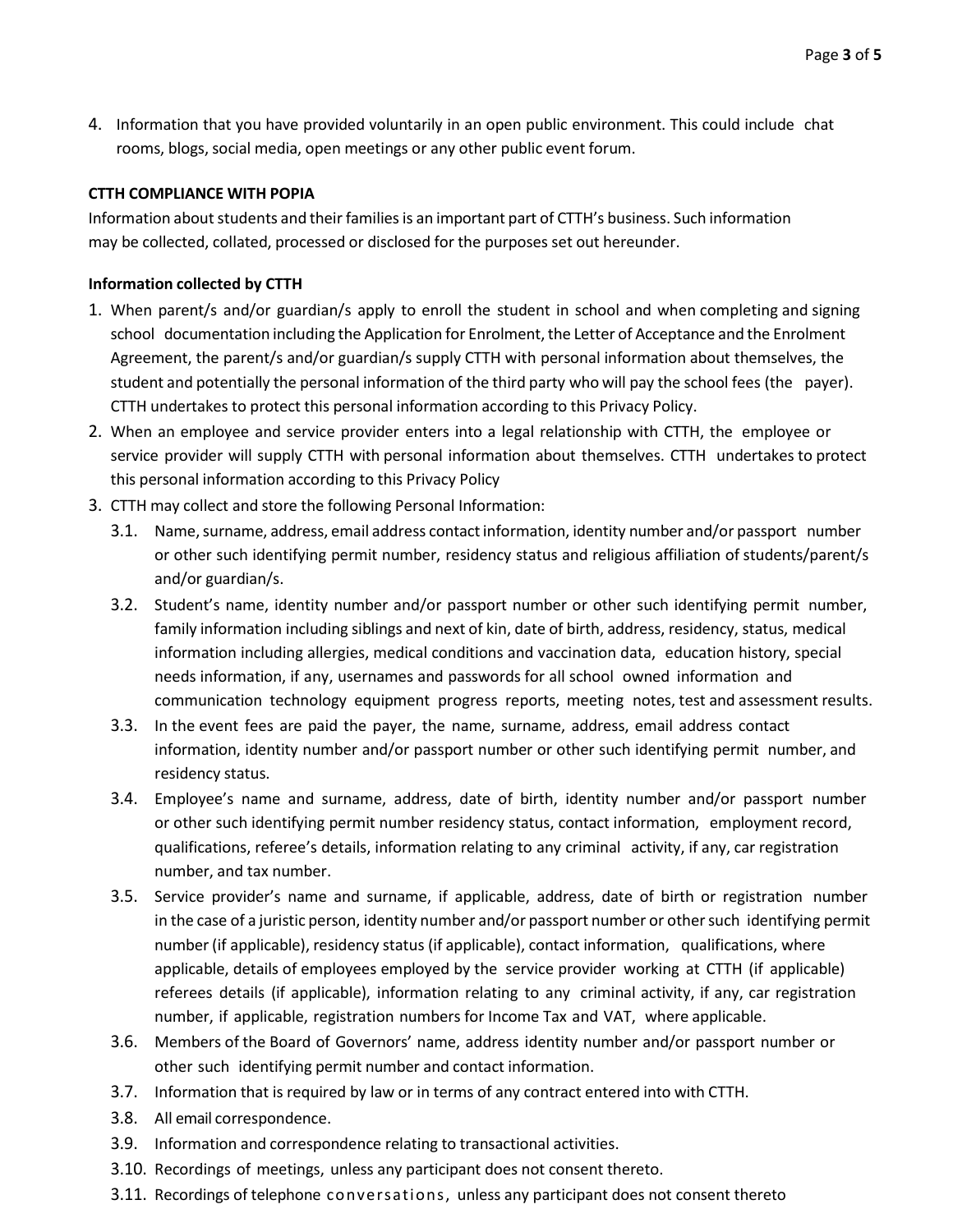4. Information that you have provided voluntarily in an open public environment. This could include chat rooms, blogs, social media, open meetings or any other public event forum.

#### **CTTH COMPLIANCE WITH POPIA**

Information about students and their families is an important part of CTTH's business. Such information may be collected, collated, processed or disclosed for the purposes set out hereunder.

#### **Information collected by CTTH**

- 1. When parent/s and/or guardian/s apply to enroll the student in school and when completing and signing school documentation including the Application for Enrolment, the Letter of Acceptance and the Enrolment Agreement, the parent/s and/or guardian/s supply CTTH with personal information about themselves, the student and potentially the personal information of the third party who will pay the school fees (the payer). CTTH undertakes to protect this personal information according to this Privacy Policy.
- 2. When an employee and service provider enters into a legal relationship with CTTH, the employee or service provider will supply CTTH with personal information about themselves. CTTH undertakes to protect this personal information according to this Privacy Policy
- 3. CTTH may collect and store the following Personal Information:
	- 3.1. Name, surname, address, email address contact information, identity number and/or passport number or other such identifying permit number, residency status and religious affiliation of students/parent/s and/or guardian/s.
	- 3.2. Student's name, identity number and/or passport number or other such identifying permit number, family information including siblings and next of kin, date of birth, address, residency, status, medical information including allergies, medical conditions and vaccination data, education history, special needs information, if any, usernames and passwords for all school owned information and communication technology equipment progress reports, meeting notes, test and assessment results.
	- 3.3. In the event fees are paid the payer, the name, surname, address, email address contact information, identity number and/or passport number or other such identifying permit number, and residency status.
	- 3.4. Employee's name and surname, address, date of birth, identity number and/or passport number or other such identifying permit number residency status, contact information, employment record, qualifications, referee's details, information relating to any criminal activity, if any, car registration number, and tax number.
	- 3.5. Service provider's name and surname, if applicable, address, date of birth or registration number in the case of a juristic person, identity number and/or passport number or othersuch identifying permit number (if applicable), residency status (if applicable), contact information, qualifications, where applicable, details of employees employed by the service provider working at CTTH (if applicable) referees details (if applicable), information relating to any criminal activity, if any, car registration number, if applicable, registration numbers for Income Tax and VAT, where applicable.
	- 3.6. Members of the Board of Governors' name, address identity number and/or passport number or other such identifying permit number and contact information.
	- 3.7. Information that is required by law or in terms of any contract entered into with CTTH.
	- 3.8. All email correspondence.
	- 3.9. Information and correspondence relating to transactional activities.
	- 3.10. Recordings of meetings, unless any participant does not consent thereto.
	- 3.11. Recordings of telephone conversations, unless any participant does not consent thereto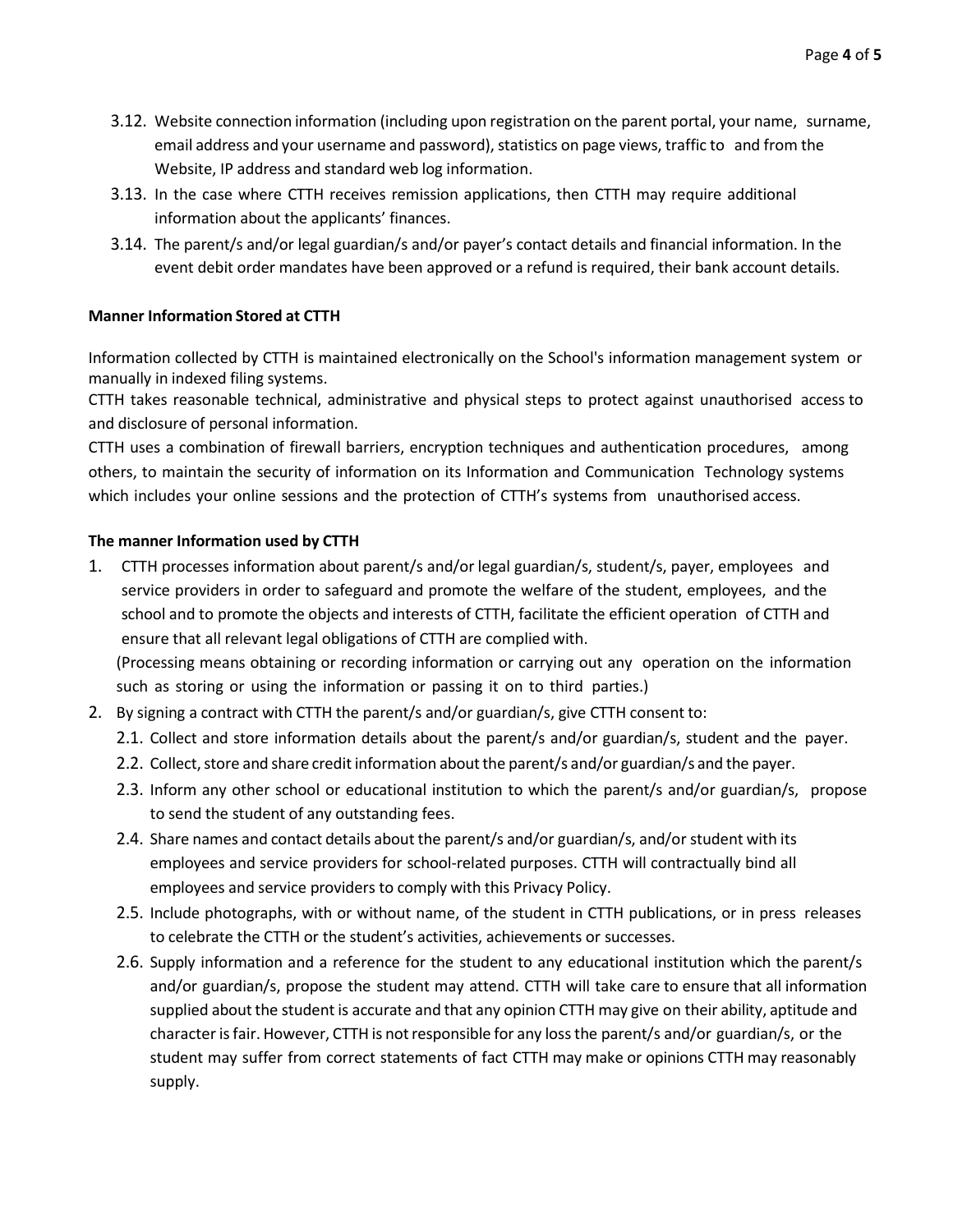- 3.12. Website connection information (including upon registration on the parent portal, your name, surname, email address and your username and password), statistics on page views, traffic to and from the Website, IP address and standard web log information.
- 3.13. In the case where CTTH receives remission applications, then CTTH may require additional information about the applicants' finances.
- 3.14. The parent/s and/or legal guardian/s and/or payer's contact details and financial information. In the event debit order mandates have been approved or a refund is required, their bank account details.

## **Manner Information Stored at CTTH**

Information collected by CTTH is maintained electronically on the School's information management system or manually in indexed filing systems.

CTTH takes reasonable technical, administrative and physical steps to protect against unauthorised access to and disclosure of personal information.

CTTH uses a combination of firewall barriers, encryption techniques and authentication procedures, among others, to maintain the security of information on its Information and Communication Technology systems which includes your online sessions and the protection of CTTH's systems from unauthorised access.

#### **The manner Information used by CTTH**

- 1. CTTH processes information about parent/s and/or legal guardian/s, student/s, payer, employees and service providers in order to safeguard and promote the welfare of the student, employees, and the school and to promote the objects and interests of CTTH, facilitate the efficient operation of CTTH and ensure that all relevant legal obligations of CTTH are complied with. (Processing means obtaining or recording information or carrying out any operation on the information such as storing or using the information or passing it on to third parties.)
- 2. By signing a contract with CTTH the parent/s and/or guardian/s, give CTTH consent to:
	- 2.1. Collect and store information details about the parent/s and/or guardian/s, student and the payer.
	- 2.2. Collect, store and share credit information about the parent/s and/or guardian/s and the payer.
	- 2.3. Inform any other school or educational institution to which the parent/s and/or guardian/s, propose to send the student of any outstanding fees.
	- 2.4. Share names and contact details about the parent/s and/or guardian/s, and/or student with its employees and service providers for school-related purposes. CTTH will contractually bind all employees and service providers to comply with this Privacy Policy.
	- 2.5. Include photographs, with or without name, of the student in CTTH publications, or in press releases to celebrate the CTTH or the student's activities, achievements or successes.
	- 2.6. Supply information and a reference for the student to any educational institution which the parent/s and/or guardian/s, propose the student may attend. CTTH will take care to ensure that all information supplied about the student is accurate and that any opinion CTTH may give on their ability, aptitude and character is fair. However, CTTH is not responsible for any loss the parent/s and/or guardian/s, or the student may suffer from correct statements of fact CTTH may make or opinions CTTH may reasonably supply.